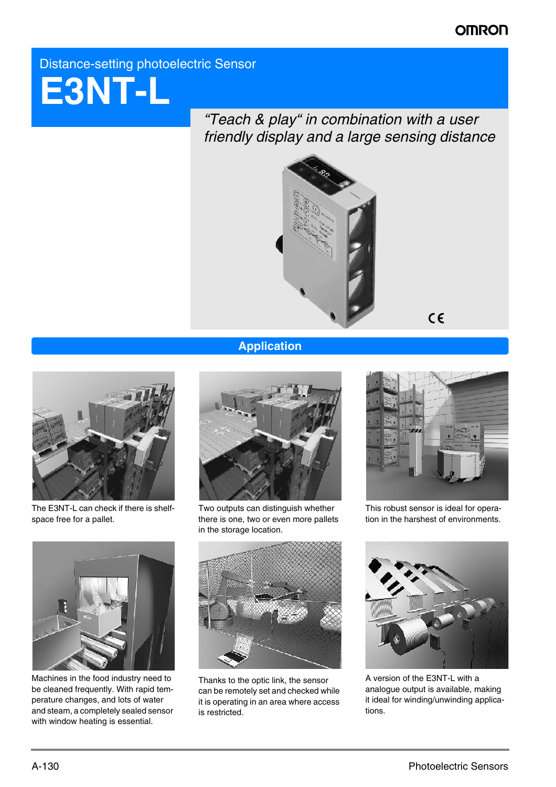# **OMRON**

# Distance-setting photoelectric Sensor



*"Teach & play" in combination with a user friendly display and a large sensing distance*



 $C \in$ 

# **Application**



The E3NT-L can check if there is shelfspace free for a pallet.



Two outputs can distinguish whether there is one, two or even more pallets in the storage location.



This robust sensor is ideal for operation in the harshest of environments.



Machines in the food industry need to be cleaned frequently. With rapid temperature changes, and lots of water and steam, a completely sealed sensor with window heating is essential.



Thanks to the optic link, the sensor can be remotely set and checked while it is operating in an area where access is restricted.



A version of the E3NT-L with a analogue output is available, making it ideal for winding/unwinding applications.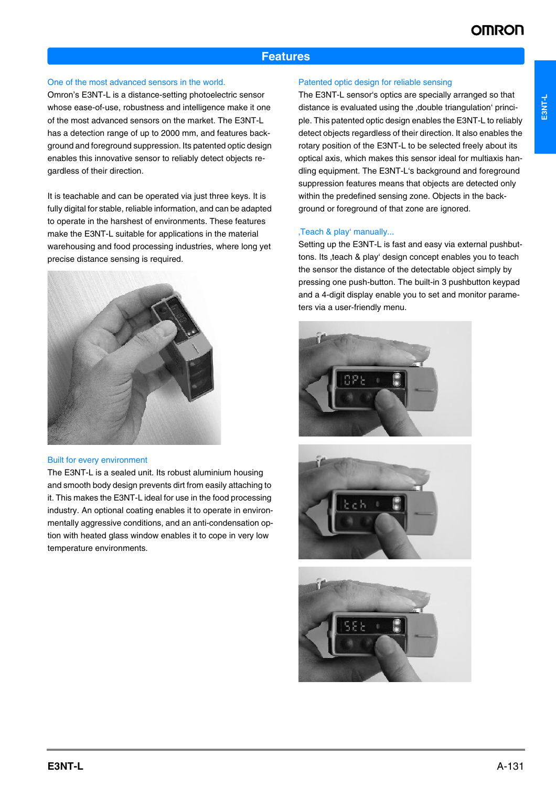# **Features**

#### One of the most advanced sensors in the world.

Omron's E3NT-L is a distance-setting photoelectric sensor whose ease-of-use, robustness and intelligence make it one of the most advanced sensors on the market. The E3NT-L has a detection range of up to 2000 mm, and features background and foreground suppression. Its patented optic design enables this innovative sensor to reliably detect objects regardless of their direction.

It is teachable and can be operated via just three keys. It is fully digital for stable, reliable information, and can be adapted to operate in the harshest of environments. These features make the E3NT-L suitable for applications in the material warehousing and food processing industries, where long yet precise distance sensing is required.



#### Built for every environment

The E3NT-L is a sealed unit. Its robust aluminium housing and smooth body design prevents dirt from easily attaching to it. This makes the E3NT-L ideal for use in the food processing industry. An optional coating enables it to operate in environmentally aggressive conditions, and an anti-condensation option with heated glass window enables it to cope in very low temperature environments.

#### Patented optic design for reliable sensing

The E3NT-L sensor's optics are specially arranged so that distance is evaluated using the double triangulation' principle. This patented optic design enables the E3NT-L to reliably detect objects regardless of their direction. It also enables the rotary position of the E3NT-L to be selected freely about its optical axis, which makes this sensor ideal for multiaxis handling equipment. The E3NT-L's background and foreground suppression features means that objects are detected only within the predefined sensing zone. Objects in the background or foreground of that zone are ignored.

#### ,Teach & play' manually...

Setting up the E3NT-L is fast and easy via external pushbuttons. Its , teach & play' design concept enables you to teach the sensor the distance of the detectable object simply by pressing one push-button. The built-in 3 pushbutton keypad and a 4-digit display enable you to set and monitor parameters via a user-friendly menu.





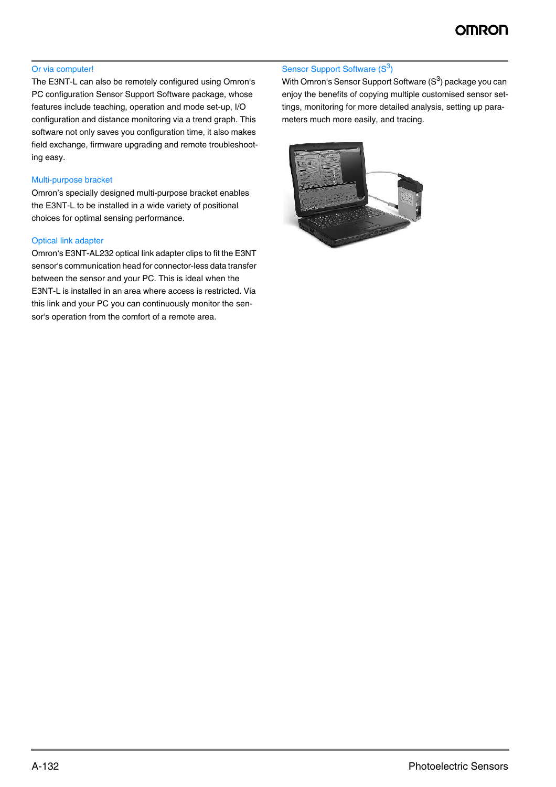## Or via computer!

The E3NT-L can also be remotely configured using Omron's PC configuration Sensor Support Software package, whose features include teaching, operation and mode set-up, I/O configuration and distance monitoring via a trend graph. This software not only saves you configuration time, it also makes field exchange, firmware upgrading and remote troubleshooting easy.

# Multi-purpose bracket

Omron's specially designed multi-purpose bracket enables the E3NT-L to be installed in a wide variety of positional choices for optimal sensing performance.

## Optical link adapter

Omron's E3NT-AL232 optical link adapter clips to fit the E3NT sensor's communication head for connector-less data transfer between the sensor and your PC. This is ideal when the E3NT-L is installed in an area where access is restricted. Via this link and your PC you can continuously monitor the sensor's operation from the comfort of a remote area.

## Sensor Support Software (S<sup>3</sup>)

With Omron's Sensor Support Software (S<sup>3</sup>) package you can enjoy the benefits of copying multiple customised sensor settings, monitoring for more detailed analysis, setting up parameters much more easily, and tracing.

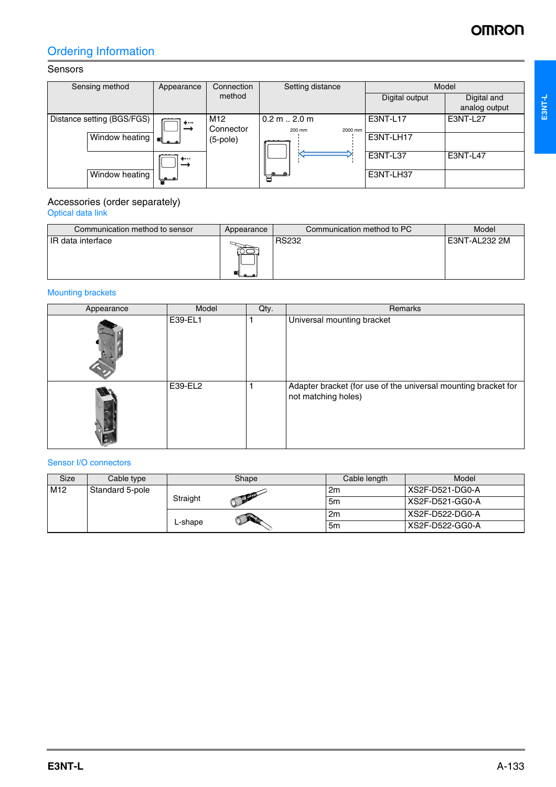# **OMRON**

# Ordering Information

# Sensors

| Sensing method             | Appearance | Connection                   | Setting distance                           | Model          |                              |
|----------------------------|------------|------------------------------|--------------------------------------------|----------------|------------------------------|
|                            |            | method                       |                                            | Digital output | Digital and<br>analog output |
| Distance setting (BGS/FGS) | 4          | M <sub>12</sub><br>Connector | $0.2 \text{ m}$ 2.0 m<br>200 mm<br>2000 mm | E3NT-L17       | E3NT-L27                     |
| Window heating             | ده به ا    | $(5-pole)$                   |                                            | E3NT-LH17      |                              |
|                            | .          |                              |                                            | E3NT-L37       | E3NT-L47                     |
| Window heating             | نمسمها     |                              | a.                                         | E3NT-LH37      |                              |

#### Accessories (order separately) Optical data link

| Communication method to sensor | Appearance | Communication method to PC | Model         |
|--------------------------------|------------|----------------------------|---------------|
| IR data interface              |            | <b>RS232</b>               | E3NT-AL232 2M |

# Mounting brackets

| Appearance | Model   | Qty. | Remarks                                                                               |
|------------|---------|------|---------------------------------------------------------------------------------------|
|            | E39-EL1 |      | Universal mounting bracket                                                            |
|            | E39-EL2 |      | Adapter bracket (for use of the universal mounting bracket for<br>not matching holes) |

## Sensor I/O connectors

| <b>Size</b>     | Cable type      |          | Shape             | Cable length   | Model            |
|-----------------|-----------------|----------|-------------------|----------------|------------------|
| M <sub>12</sub> | Standard 5-pole |          |                   | 2 <sub>m</sub> | XS2F-D521-DG0-A  |
|                 |                 | Straight | <b>COLLECTION</b> | 5 <sub>m</sub> | ⊦XS2F-D521-GG0-A |
|                 |                 |          |                   | 2m             | XS2F-D522-DG0-A  |
|                 |                 | L-shape  |                   | 5 <sub>m</sub> | XS2F-D522-GG0-A  |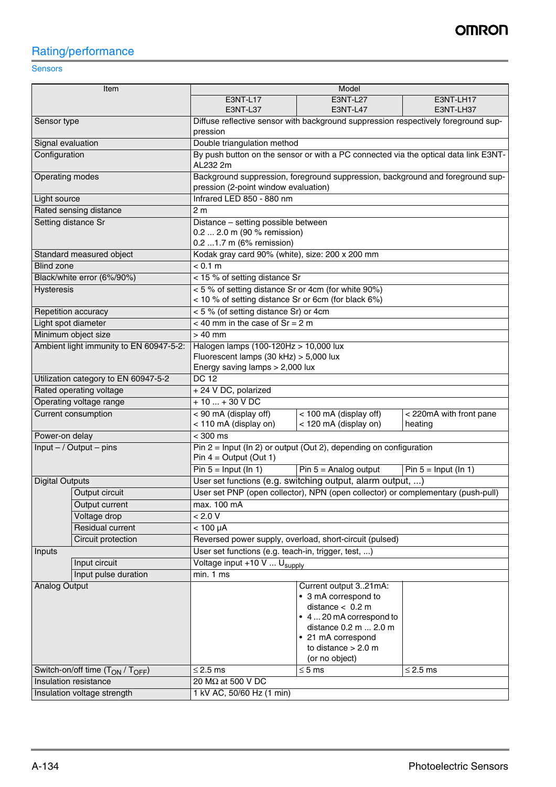# Rating/performance

# **Sensors**

| Item                                                                              |                                         | Model                                                                                          |                                                                      |                                                                                     |  |  |
|-----------------------------------------------------------------------------------|-----------------------------------------|------------------------------------------------------------------------------------------------|----------------------------------------------------------------------|-------------------------------------------------------------------------------------|--|--|
|                                                                                   |                                         | <b>E3NT-L17</b>                                                                                | E3NT-L27                                                             | E3NT-LH17                                                                           |  |  |
|                                                                                   |                                         | E3NT-L37                                                                                       | <b>E3NT-L47</b>                                                      | E3NT-LH37                                                                           |  |  |
| Sensor type                                                                       |                                         | Diffuse reflective sensor with background suppression respectively foreground sup-<br>pression |                                                                      |                                                                                     |  |  |
| Signal evaluation                                                                 |                                         | Double triangulation method                                                                    |                                                                      |                                                                                     |  |  |
| Configuration                                                                     |                                         |                                                                                                |                                                                      | By push button on the sensor or with a PC connected via the optical data link E3NT- |  |  |
|                                                                                   |                                         | AL232 2m                                                                                       |                                                                      |                                                                                     |  |  |
| Operating modes                                                                   |                                         | pression (2-point window evaluation)                                                           |                                                                      | Background suppression, foreground suppression, background and foreground sup-      |  |  |
| Light source                                                                      |                                         | Infrared LED 850 - 880 nm                                                                      |                                                                      |                                                                                     |  |  |
|                                                                                   | Rated sensing distance                  | 2 <sub>m</sub>                                                                                 |                                                                      |                                                                                     |  |  |
|                                                                                   | Setting distance Sr                     | Distance - setting possible between                                                            |                                                                      |                                                                                     |  |  |
|                                                                                   |                                         | 0.2  2.0 m (90 % remission)                                                                    |                                                                      |                                                                                     |  |  |
|                                                                                   |                                         | 0.2  1.7 m (6% remission)<br>Kodak gray card 90% (white), size: 200 x 200 mm                   |                                                                      |                                                                                     |  |  |
| <b>Blind zone</b>                                                                 | Standard measured object                | < 0.1 m                                                                                        |                                                                      |                                                                                     |  |  |
|                                                                                   | Black/white error (6%/90%)              | < 15 % of setting distance Sr                                                                  |                                                                      |                                                                                     |  |  |
| Hysteresis                                                                        |                                         | < 5 % of setting distance Sr or 4cm (for white 90%)                                            |                                                                      |                                                                                     |  |  |
|                                                                                   |                                         | < 10 % of setting distance Sr or 6cm (for black 6%)                                            |                                                                      |                                                                                     |  |  |
|                                                                                   | Repetition accuracy                     | < 5 % (of setting distance Sr) or 4cm                                                          |                                                                      |                                                                                     |  |  |
|                                                                                   | Light spot diameter                     | $<$ 40 mm in the case of Sr = 2 m                                                              |                                                                      |                                                                                     |  |  |
|                                                                                   | Minimum object size                     | $> 40$ mm                                                                                      |                                                                      |                                                                                     |  |  |
|                                                                                   | Ambient light immunity to EN 60947-5-2: | Halogen lamps (100-120Hz > 10,000 lux                                                          |                                                                      |                                                                                     |  |  |
|                                                                                   |                                         | Fluorescent lamps (30 kHz) > 5,000 lux                                                         |                                                                      |                                                                                     |  |  |
|                                                                                   |                                         | Energy saving lamps > 2,000 lux                                                                |                                                                      |                                                                                     |  |  |
|                                                                                   | Utilization category to EN 60947-5-2    | <b>DC 12</b>                                                                                   |                                                                      |                                                                                     |  |  |
|                                                                                   | Rated operating voltage                 | + 24 V DC, polarized                                                                           |                                                                      |                                                                                     |  |  |
| Operating voltage range                                                           |                                         | $+10+30$ V DC                                                                                  |                                                                      |                                                                                     |  |  |
| Current consumption                                                               |                                         | < 90 mA (display off)<br>< 110 mA (display on)                                                 | < 100 mA (display off)<br>< 120 mA (display on)                      | < 220mA with front pane<br>heating                                                  |  |  |
| Power-on delay                                                                    |                                         | $<$ 300 ms                                                                                     |                                                                      |                                                                                     |  |  |
|                                                                                   | $Input - / Output - pins$               |                                                                                                | Pin $2 =$ Input (In 2) or output (Out 2), depending on configuration |                                                                                     |  |  |
|                                                                                   |                                         | Pin $4 =$ Output (Out 1)                                                                       |                                                                      |                                                                                     |  |  |
|                                                                                   |                                         | Pin $5 =$ Input (In 1)                                                                         | Pin $5 =$ Analog output                                              | Pin $5 =$ Input (In 1)                                                              |  |  |
| <b>Digital Outputs</b>                                                            |                                         | User set functions (e.g. switching output, alarm output, )                                     |                                                                      |                                                                                     |  |  |
|                                                                                   | Output circuit                          | User set PNP (open collector), NPN (open collector) or complementary (push-pull)               |                                                                      |                                                                                     |  |  |
|                                                                                   | Output current                          | max. 100 mA                                                                                    |                                                                      |                                                                                     |  |  |
|                                                                                   | Voltage drop                            | < 2.0 V                                                                                        |                                                                      |                                                                                     |  |  |
|                                                                                   | Residual current                        | $< 100 \mu A$                                                                                  |                                                                      |                                                                                     |  |  |
|                                                                                   | Circuit protection                      | Reversed power supply, overload, short-circuit (pulsed)                                        |                                                                      |                                                                                     |  |  |
| Inputs                                                                            |                                         |                                                                                                | User set functions (e.g. teach-in, trigger, test, )                  |                                                                                     |  |  |
| Input circuit                                                                     |                                         | Voltage input +10 V  U <sub>supply</sub><br>min. 1 ms                                          |                                                                      |                                                                                     |  |  |
| Input pulse duration<br>Analog Output                                             |                                         |                                                                                                | Current output 321mA:                                                |                                                                                     |  |  |
|                                                                                   |                                         |                                                                                                | • 3 mA correspond to                                                 |                                                                                     |  |  |
|                                                                                   |                                         |                                                                                                | distance $< 0.2$ m                                                   |                                                                                     |  |  |
|                                                                                   |                                         |                                                                                                | • 4  20 mA correspond to                                             |                                                                                     |  |  |
|                                                                                   |                                         |                                                                                                | distance 0.2 m  2.0 m                                                |                                                                                     |  |  |
|                                                                                   |                                         |                                                                                                | • 21 mA correspond                                                   |                                                                                     |  |  |
|                                                                                   |                                         |                                                                                                | to distance $> 2.0$ m                                                |                                                                                     |  |  |
|                                                                                   |                                         | $\leq$ 2.5 ms                                                                                  | (or no object)<br>$\leq$ 5 ms                                        | $\leq$ 2.5 ms                                                                       |  |  |
| Switch-on/off time (T <sub>ON</sub> / T <sub>OFF</sub> )<br>Insulation resistance |                                         | 20 MΩ at 500 V DC                                                                              |                                                                      |                                                                                     |  |  |
|                                                                                   |                                         | 1 kV AC, 50/60 Hz (1 min)                                                                      |                                                                      |                                                                                     |  |  |
| Insulation voltage strength                                                       |                                         |                                                                                                |                                                                      |                                                                                     |  |  |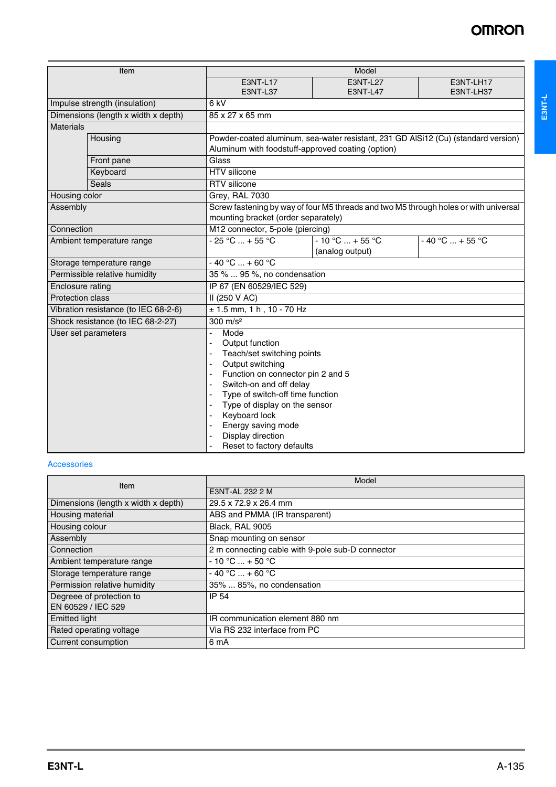| Item                                 |                                     | Model                                          |                                                                                                                                         |                                                                                      |  |  |
|--------------------------------------|-------------------------------------|------------------------------------------------|-----------------------------------------------------------------------------------------------------------------------------------------|--------------------------------------------------------------------------------------|--|--|
|                                      |                                     | <b>E3NT-L17</b>                                | <b>E3NT-L27</b>                                                                                                                         | E3NT-LH17                                                                            |  |  |
|                                      |                                     | E3NT-L37                                       | <b>E3NT-L47</b>                                                                                                                         | E3NT-LH37                                                                            |  |  |
|                                      | Impulse strength (insulation)       | 6 <sub>kV</sub>                                |                                                                                                                                         |                                                                                      |  |  |
|                                      | Dimensions (length x width x depth) | 85 x 27 x 65 mm                                |                                                                                                                                         |                                                                                      |  |  |
| <b>Materials</b>                     |                                     |                                                |                                                                                                                                         |                                                                                      |  |  |
| Housing                              |                                     |                                                | Powder-coated aluminum, sea-water resistant, 231 GD AlSi12 (Cu) (standard version)<br>Aluminum with foodstuff-approved coating (option) |                                                                                      |  |  |
|                                      | Front pane                          | Glass                                          |                                                                                                                                         |                                                                                      |  |  |
|                                      | Keyboard                            | HTV silicone                                   |                                                                                                                                         |                                                                                      |  |  |
|                                      | <b>Seals</b>                        | RTV silicone                                   |                                                                                                                                         |                                                                                      |  |  |
| Housing color                        |                                     | Grey, RAL 7030                                 |                                                                                                                                         |                                                                                      |  |  |
| Assembly                             |                                     | mounting bracket (order separately)            |                                                                                                                                         | Screw fastening by way of four M5 threads and two M5 through holes or with universal |  |  |
| Connection                           |                                     | M12 connector, 5-pole (piercing)               |                                                                                                                                         |                                                                                      |  |  |
|                                      | Ambient temperature range           | $-25 °C  + 55 °C$                              | $-10 °C  + 55 °C$                                                                                                                       | $-40 °C  + 55 °C$                                                                    |  |  |
|                                      |                                     |                                                | (analog output)                                                                                                                         |                                                                                      |  |  |
| Storage temperature range            |                                     | $-40 °C  + 60 °C$                              |                                                                                                                                         |                                                                                      |  |  |
| Permissible relative humidity        |                                     | 35 %  95 %, no condensation                    |                                                                                                                                         |                                                                                      |  |  |
| Enclosure rating                     |                                     | IP 67 (EN 60529/IEC 529)                       |                                                                                                                                         |                                                                                      |  |  |
| <b>Protection class</b>              |                                     | II (250 V AC)                                  |                                                                                                                                         |                                                                                      |  |  |
| Vibration resistance (to IEC 68-2-6) |                                     | $\pm$ 1.5 mm, 1 h, 10 - 70 Hz                  |                                                                                                                                         |                                                                                      |  |  |
|                                      | Shock resistance (to IEC 68-2-27)   | $300 \text{ m/s}^2$                            |                                                                                                                                         |                                                                                      |  |  |
|                                      | User set parameters                 | Mode<br>÷,                                     |                                                                                                                                         |                                                                                      |  |  |
|                                      |                                     | Output function                                |                                                                                                                                         |                                                                                      |  |  |
|                                      |                                     | Teach/set switching points                     |                                                                                                                                         |                                                                                      |  |  |
|                                      |                                     | Output switching                               |                                                                                                                                         |                                                                                      |  |  |
|                                      |                                     | Function on connector pin 2 and 5              |                                                                                                                                         |                                                                                      |  |  |
|                                      |                                     | Switch-on and off delay                        |                                                                                                                                         |                                                                                      |  |  |
|                                      |                                     | Type of switch-off time function               |                                                                                                                                         |                                                                                      |  |  |
|                                      |                                     | Type of display on the sensor<br>Keyboard lock |                                                                                                                                         |                                                                                      |  |  |
|                                      |                                     | Energy saving mode                             |                                                                                                                                         |                                                                                      |  |  |
|                                      |                                     | Display direction                              |                                                                                                                                         |                                                                                      |  |  |
|                                      |                                     | Reset to factory defaults                      |                                                                                                                                         |                                                                                      |  |  |

#### Accessories

| Item                                | Model                                            |  |  |
|-------------------------------------|--------------------------------------------------|--|--|
|                                     | E3NT-AL 232 2 M                                  |  |  |
| Dimensions (length x width x depth) | 29.5 x 72.9 x 26.4 mm                            |  |  |
| Housing material                    | ABS and PMMA (IR transparent)                    |  |  |
| Housing colour                      | Black, RAL 9005                                  |  |  |
| Assembly                            | Snap mounting on sensor                          |  |  |
| Connection                          | 2 m connecting cable with 9-pole sub-D connector |  |  |
| Ambient temperature range           | $-10 °C  + 50 °C$                                |  |  |
| Storage temperature range           | $-40 °C  + 60 °C$                                |  |  |
| Permission relative humidity        | 35%  85%, no condensation                        |  |  |
| Degreee of protection to            | IP 54                                            |  |  |
| EN 60529 / IEC 529                  |                                                  |  |  |
| <b>Emitted light</b>                | IR communication element 880 nm                  |  |  |
| Rated operating voltage             | Via RS 232 interface from PC                     |  |  |
| Current consumption                 | 6 mA                                             |  |  |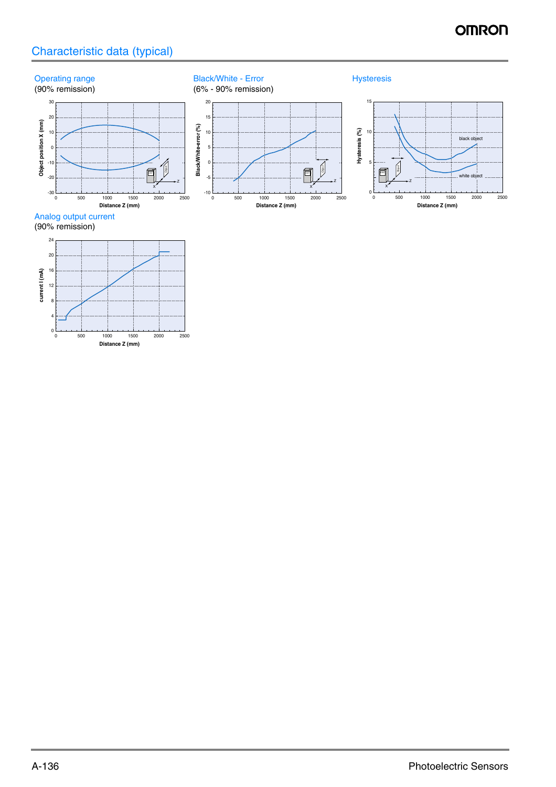# **OMRON**

# Characteristic data (typical)



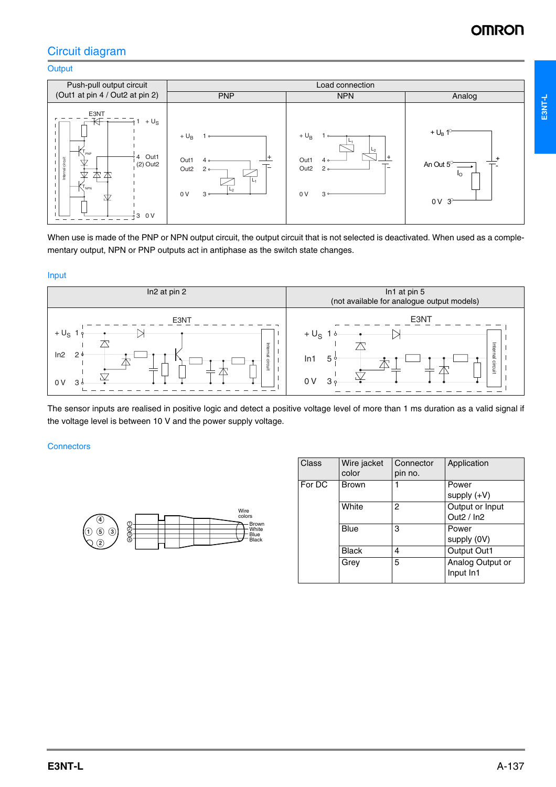# Circuit diagram

## **Output**



When use is made of the PNP or NPN output circuit, the output circuit that is not selected is deactivated. When used as a complementary output, NPN or PNP outputs act in antiphase as the switch state changes.

#### Input



The sensor inputs are realised in positive logic and detect a positive voltage level of more than 1 ms duration as a valid signal if the voltage level is between 10 V and the power supply voltage.

#### **Connectors**



| Class  | Wire jacket<br>color | Connector<br>pin no. | Application                    |
|--------|----------------------|----------------------|--------------------------------|
| For DC | <b>Brown</b>         | 1                    | Power<br>supply $(+V)$         |
|        | White                | 2                    | Output or Input<br>Out $2/ln2$ |
|        | Blue                 | 3                    | Power<br>supply (0V)           |
|        | <b>Black</b>         | 4                    | <b>Output Out1</b>             |
|        | Grev                 | 5                    | Analog Output or<br>Input In1  |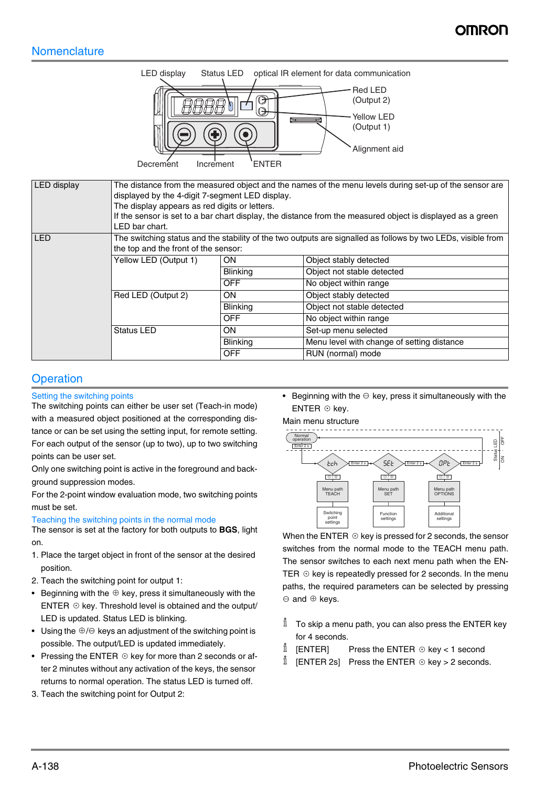# **Nomenclature**



| LED display | The distance from the measured object and the names of the menu levels during set-up of the sensor are<br>displayed by the 4-digit 7-segment LED display.<br>The display appears as red digits or letters.<br>If the sensor is set to a bar chart display, the distance from the measured object is displayed as a green<br>LED bar chart. |                 |                                            |  |
|-------------|--------------------------------------------------------------------------------------------------------------------------------------------------------------------------------------------------------------------------------------------------------------------------------------------------------------------------------------------|-----------------|--------------------------------------------|--|
| <b>LED</b>  | The switching status and the stability of the two outputs are signalled as follows by two LEDs, visible from<br>the top and the front of the sensor:                                                                                                                                                                                       |                 |                                            |  |
|             | Yellow LED (Output 1)                                                                                                                                                                                                                                                                                                                      | ON.             | Object stably detected                     |  |
|             |                                                                                                                                                                                                                                                                                                                                            | <b>Blinking</b> | Object not stable detected                 |  |
|             |                                                                                                                                                                                                                                                                                                                                            | <b>OFF</b>      | No object within range                     |  |
|             | Red LED (Output 2)                                                                                                                                                                                                                                                                                                                         | ON.             | Object stably detected                     |  |
|             |                                                                                                                                                                                                                                                                                                                                            | Blinking        | Object not stable detected                 |  |
|             |                                                                                                                                                                                                                                                                                                                                            | <b>OFF</b>      | No object within range                     |  |
|             | <b>Status LED</b>                                                                                                                                                                                                                                                                                                                          | ON.             | Set-up menu selected                       |  |
|             |                                                                                                                                                                                                                                                                                                                                            | <b>Blinking</b> | Menu level with change of setting distance |  |
|             |                                                                                                                                                                                                                                                                                                                                            | <b>OFF</b>      | RUN (normal) mode                          |  |

# **Operation**

## Setting the switching points

The switching points can either be user set (Teach-in mode) with a measured object positioned at the corresponding distance or can be set using the setting input, for remote setting. For each output of the sensor (up to two), up to two switching points can be user set.

Only one switching point is active in the foreground and background suppression modes.

For the 2-point window evaluation mode, two switching points must be set.

Teaching the switching points in the normal mode

The sensor is set at the factory for both outputs to **BGS**, light on.

- 1. Place the target object in front of the sensor at the desired position.
- 2. Teach the switching point for output 1:
- Beginning with the  $\oplus$  key, press it simultaneously with the ENTER  $\odot$  key. Threshold level is obtained and the output/ LED is updated. Status LED is blinking.
- Using the  $\oplus$  / $\ominus$  keys an adjustment of the switching point is possible. The output/LED is updated immediately.
- Pressing the ENTER  $\odot$  key for more than 2 seconds or after 2 minutes without any activation of the keys, the sensor returns to normal operation. The status LED is turned off.
- 3. Teach the switching point for Output 2:

• Beginning with the  $\ominus$  key, press it simultaneously with the  $ENTER \odot$  key.



When the ENTER  $\odot$  key is pressed for 2 seconds, the sensor switches from the normal mode to the TEACH menu path. The sensor switches to each next menu path when the EN-TER  $\odot$  key is repeatedly pressed for 2 seconds. In the menu paths, the required parameters can be selected by pressing and  $\oplus$  keys.

- $\mathring{\mathbb{I}}$  To skip a menu path, you can also press the ENTER key for 4 seconds.
- i  $[ENTER]$  Press the ENTER  $\odot$  key < 1 second
- i [ENTER 2s] Press the ENTER  $\odot$  key > 2 seconds.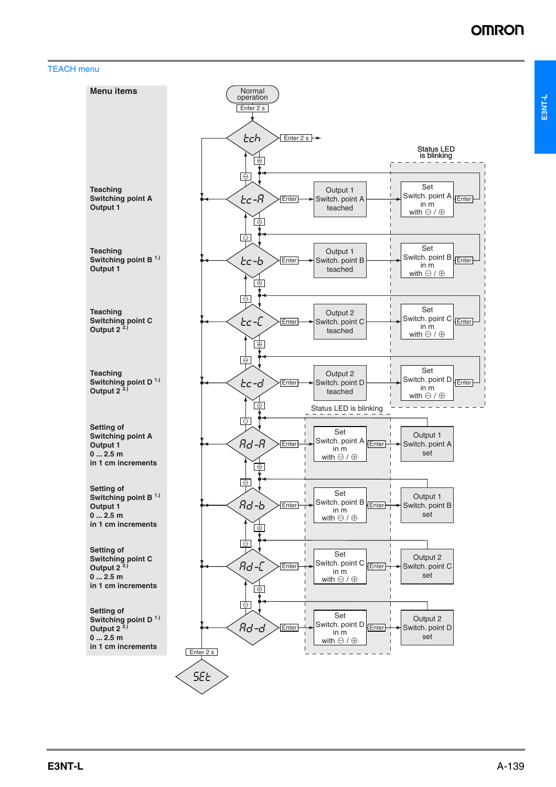## TEACH menu

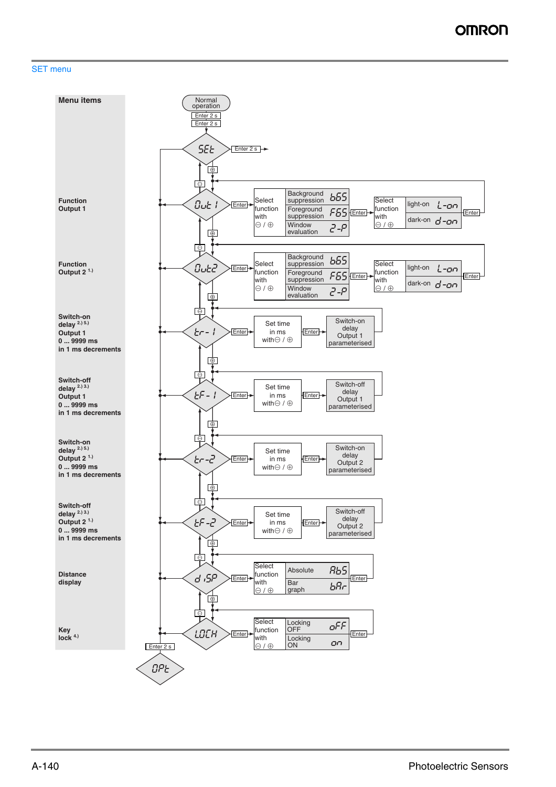#### SET menu

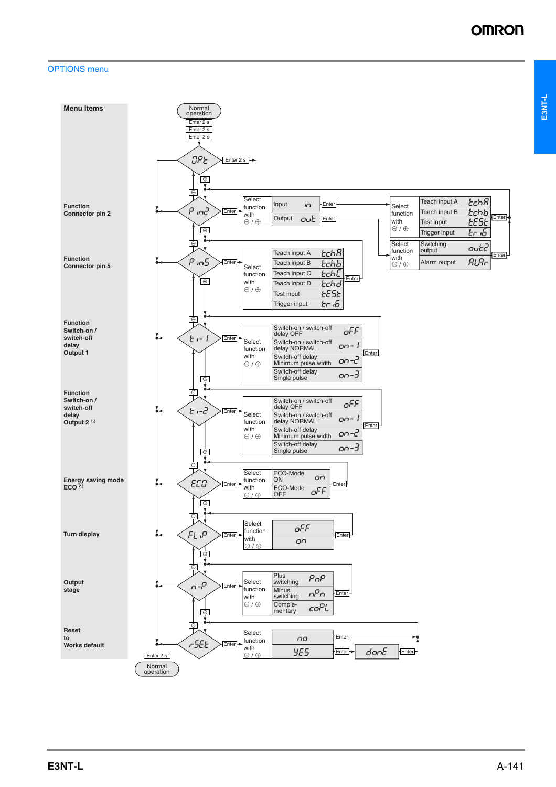**E3NT-L**

# OPTIONS menu

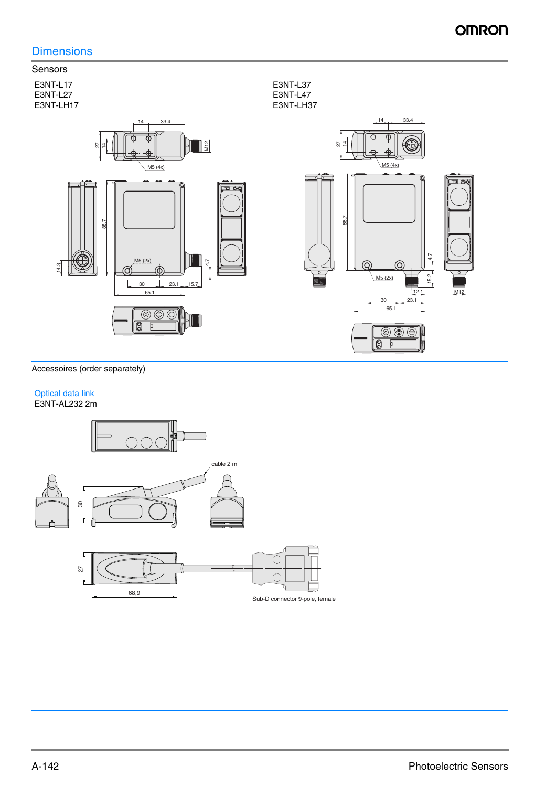# **Dimensions**



## Accessoires (order separately)

#### Optical data link E3NT-AL232 2m

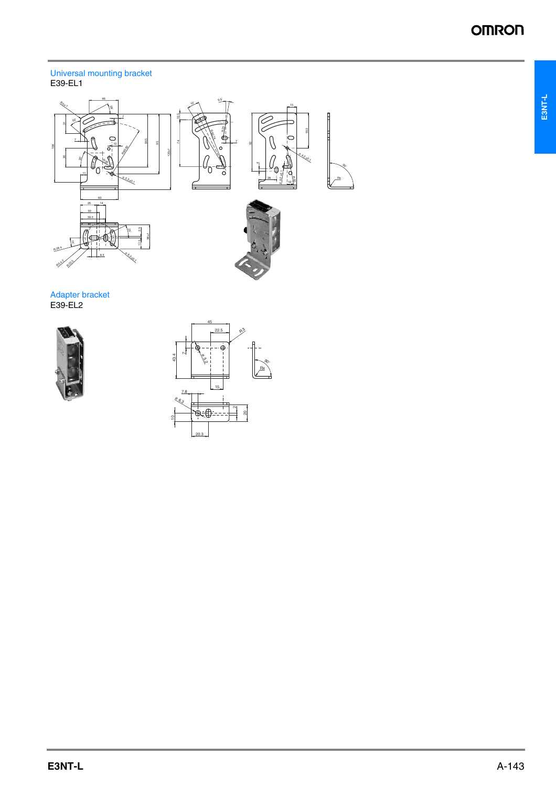**E3NT-L**

#### Universal mounting bracket E39-EL1



Adapter bracket E39-EL2



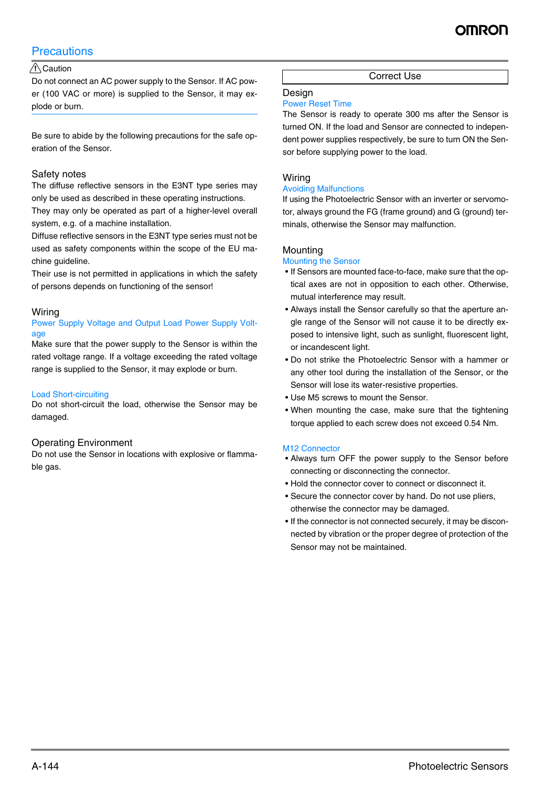# **Precautions**

# A Caution

Do not connect an AC power supply to the Sensor. If AC power (100 VAC or more) is supplied to the Sensor, it may explode or burn.

Be sure to abide by the following precautions for the safe operation of the Sensor.

## Safety notes

The diffuse reflective sensors in the E3NT type series may only be used as described in these operating instructions.

They may only be operated as part of a higher-level overall system, e.g. of a machine installation.

Diffuse reflective sensors in the E3NT type series must not be used as safety components within the scope of the EU machine guideline.

Their use is not permitted in applications in which the safety of persons depends on functioning of the sensor!

## **Wiring**

### Power Supply Voltage and Output Load Power Supply Voltage

Make sure that the power supply to the Sensor is within the rated voltage range. If a voltage exceeding the rated voltage range is supplied to the Sensor, it may explode or burn.

#### Load Short-circuiting

Do not short-circuit the load, otherwise the Sensor may be damaged.

#### Operating Environment

Do not use the Sensor in locations with explosive or flammable gas.

Correct Use

# Design

## Power Reset Time

The Sensor is ready to operate 300 ms after the Sensor is turned ON. If the load and Sensor are connected to independent power supplies respectively, be sure to turn ON the Sensor before supplying power to the load.

## **Wiring**

#### Avoiding Malfunctions

If using the Photoelectric Sensor with an inverter or servomotor, always ground the FG (frame ground) and G (ground) terminals, otherwise the Sensor may malfunction.

## Mounting

#### Mounting the Sensor

- If Sensors are mounted face-to-face, make sure that the optical axes are not in opposition to each other. Otherwise, mutual interference may result.
- Always install the Sensor carefully so that the aperture angle range of the Sensor will not cause it to be directly exposed to intensive light, such as sunlight, fluorescent light, or incandescent light.
- Do not strike the Photoelectric Sensor with a hammer or any other tool during the installation of the Sensor, or the Sensor will lose its water-resistive properties.
- Use M5 screws to mount the Sensor.
- When mounting the case, make sure that the tightening torque applied to each screw does not exceed 0.54 Nm.

#### M12 Connector

- Always turn OFF the power supply to the Sensor before connecting or disconnecting the connector.
- Hold the connector cover to connect or disconnect it.
- Secure the connector cover by hand. Do not use pliers, otherwise the connector may be damaged.
- If the connector is not connected securely, it may be disconnected by vibration or the proper degree of protection of the Sensor may not be maintained.